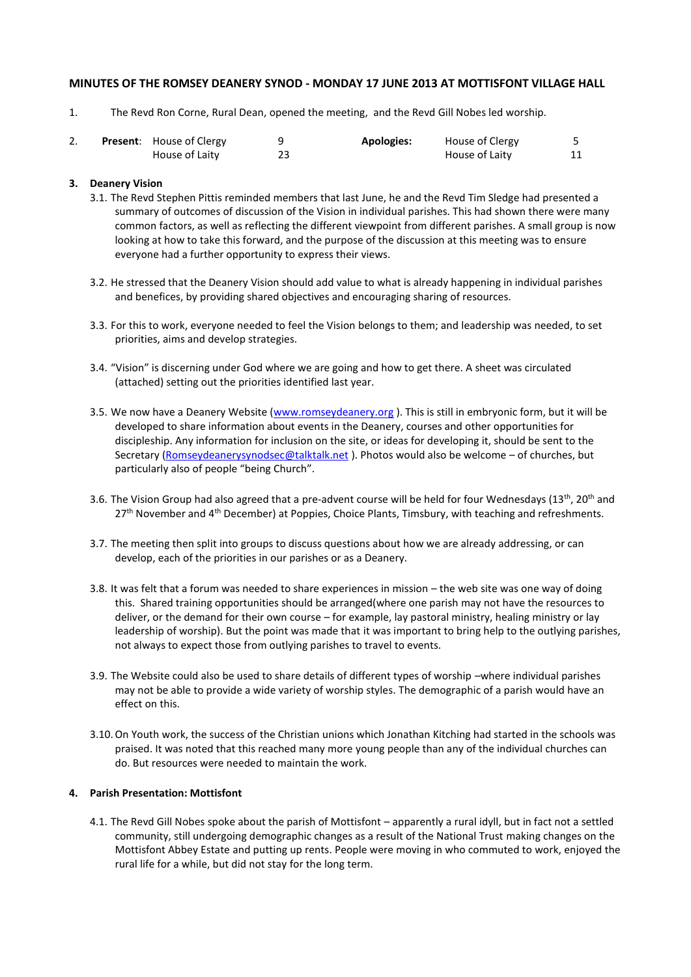### **MINUTES OF THE ROMSEY DEANERY SYNOD - MONDAY 17 JUNE 2013 AT MOTTISFONT VILLAGE HALL**

1. The Revd Ron Corne, Rural Dean, opened the meeting, and the Revd Gill Nobes led worship.

|  | <b>Present:</b> House of Clergy | <b>Apologies:</b> | House of Clergy |  |
|--|---------------------------------|-------------------|-----------------|--|
|  | House of Laity                  |                   | House of Laity  |  |

#### **3. Deanery Vision**

- 3.1. The Revd Stephen Pittis reminded members that last June, he and the Revd Tim Sledge had presented a summary of outcomes of discussion of the Vision in individual parishes. This had shown there were many common factors, as well as reflecting the different viewpoint from different parishes. A small group is now looking at how to take this forward, and the purpose of the discussion at this meeting was to ensure everyone had a further opportunity to express their views.
- 3.2. He stressed that the Deanery Vision should add value to what is already happening in individual parishes and benefices, by providing shared objectives and encouraging sharing of resources.
- 3.3. For this to work, everyone needed to feel the Vision belongs to them; and leadership was needed, to set priorities, aims and develop strategies.
- 3.4. "Vision" is discerning under God where we are going and how to get there. A sheet was circulated (attached) setting out the priorities identified last year.
- 3.5. We now have a Deanery Website [\(www.romseydeanery.org](http://www.romseydeanery.org/)). This is still in embryonic form, but it will be developed to share information about events in the Deanery, courses and other opportunities for discipleship. Any information for inclusion on the site, or ideas for developing it, should be sent to the Secretary [\(Romseydeanerysynodsec@talktalk.net](mailto:Romseydeanerysynodsec@talktalk.net)). Photos would also be welcome - of churches, but particularly also of people "being Church".
- 3.6. The Vision Group had also agreed that a pre-advent course will be held for four Wednesdays ( $13^{th}$ ,  $20^{th}$  and 27<sup>th</sup> November and 4<sup>th</sup> December) at Poppies, Choice Plants, Timsbury, with teaching and refreshments.
- 3.7. The meeting then split into groups to discuss questions about how we are already addressing, or can develop, each of the priorities in our parishes or as a Deanery.
- 3.8. It was felt that a forum was needed to share experiences in mission the web site was one way of doing this. Shared training opportunities should be arranged(where one parish may not have the resources to deliver, or the demand for their own course – for example, lay pastoral ministry, healing ministry or lay leadership of worship). But the point was made that it was important to bring help to the outlying parishes, not always to expect those from outlying parishes to travel to events.
- 3.9. The Website could also be used to share details of different types of worship –where individual parishes may not be able to provide a wide variety of worship styles. The demographic of a parish would have an effect on this.
- 3.10.On Youth work, the success of the Christian unions which Jonathan Kitching had started in the schools was praised. It was noted that this reached many more young people than any of the individual churches can do. But resources were needed to maintain the work.

### **4. Parish Presentation: Mottisfont**

4.1. The Revd Gill Nobes spoke about the parish of Mottisfont – apparently a rural idyll, but in fact not a settled community, still undergoing demographic changes as a result of the National Trust making changes on the Mottisfont Abbey Estate and putting up rents. People were moving in who commuted to work, enjoyed the rural life for a while, but did not stay for the long term.